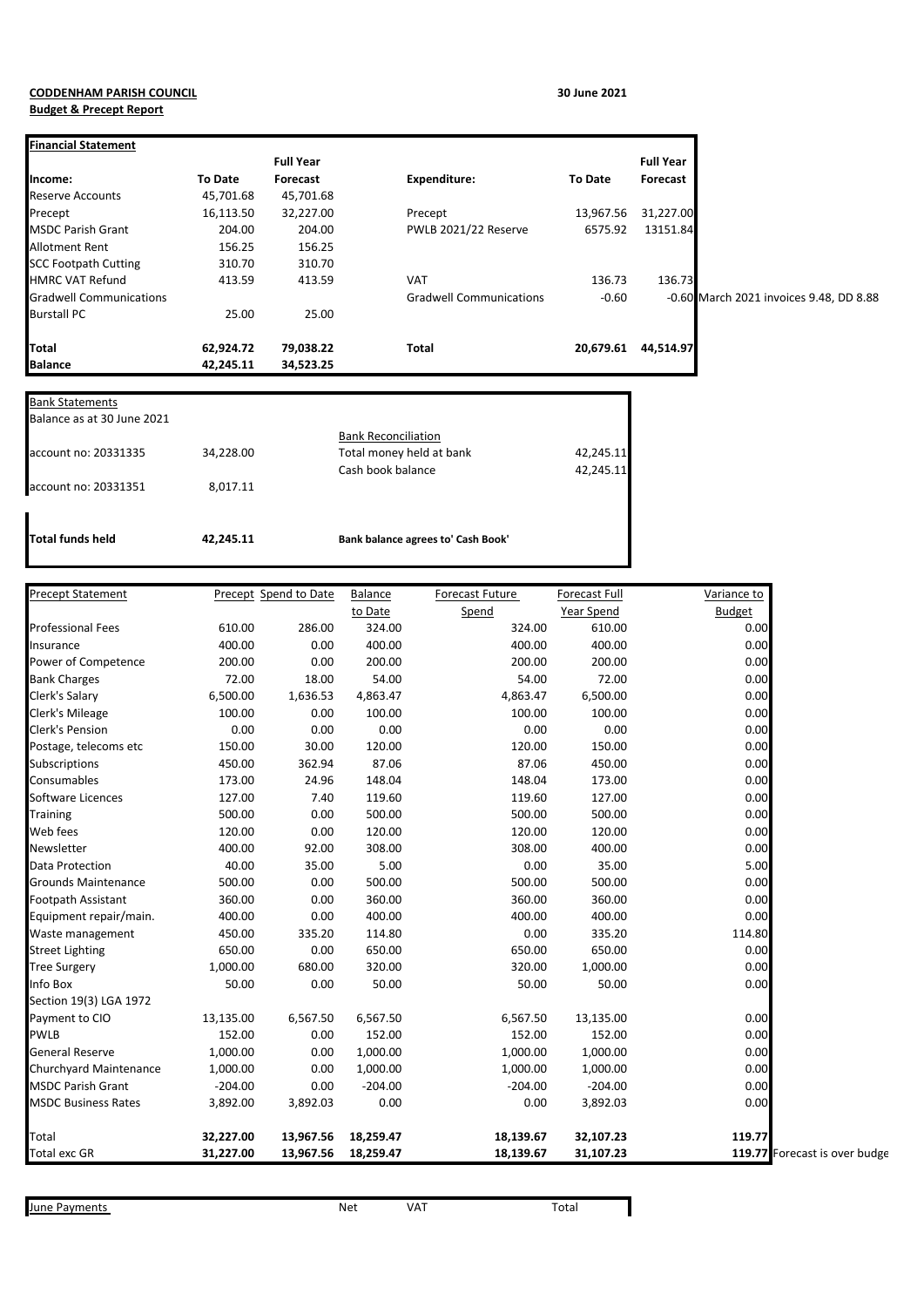## **CODDENHAM PARISH COUNCIL 30 June 2021 Budget & Precept Report**

| <b>Financial Statement</b>     |                |                  |                                |           |                  |                                         |
|--------------------------------|----------------|------------------|--------------------------------|-----------|------------------|-----------------------------------------|
|                                |                | <b>Full Year</b> |                                |           | <b>Full Year</b> |                                         |
| Income:                        | <b>To Date</b> | Forecast         | Expenditure:                   | To Date   | Forecast         |                                         |
| <b>Reserve Accounts</b>        | 45,701.68      | 45,701.68        |                                |           |                  |                                         |
| Precept                        | 16,113.50      | 32,227.00        | Precept                        | 13,967.56 | 31,227.00        |                                         |
| <b>MSDC Parish Grant</b>       | 204.00         | 204.00           | PWLB 2021/22 Reserve           | 6575.92   | 13151.84         |                                         |
| <b>Allotment Rent</b>          | 156.25         | 156.25           |                                |           |                  |                                         |
| <b>SCC Footpath Cutting</b>    | 310.70         | 310.70           |                                |           |                  |                                         |
| <b>HMRC VAT Refund</b>         | 413.59         | 413.59           | <b>VAT</b>                     | 136.73    | 136.73           |                                         |
| <b>Gradwell Communications</b> |                |                  | <b>Gradwell Communications</b> | $-0.60$   |                  | -0.60 March 2021 invoices 9.48, DD 8.88 |
| <b>Burstall PC</b>             | 25.00          | 25.00            |                                |           |                  |                                         |
| <b>Total</b>                   | 62,924.72      | 79,038.22        | <b>Total</b>                   | 20,679.61 | 44,514.97        |                                         |
| <b>Balance</b>                 | 42,245.11      | 34,523.25        |                                |           |                  |                                         |

| Total funds held           | 42.245.11 | Bank balance agrees to' Cash Book'            |                        |
|----------------------------|-----------|-----------------------------------------------|------------------------|
| account no: 20331351       | 8.017.11  |                                               |                        |
| account no: 20331335       | 34,228.00 | Total money held at bank<br>Cash book balance | 42,245.11<br>42,245.11 |
| Balance as at 30 June 2021 |           | <b>Bank Reconciliation</b>                    |                        |

| <b>Precept Statement</b>   |           | Precept Spend to Date | Balance   | Forecast Future | Forecast Full | Variance to                   |
|----------------------------|-----------|-----------------------|-----------|-----------------|---------------|-------------------------------|
|                            |           |                       | to Date   | Spend           | Year Spend    | <b>Budget</b>                 |
| <b>Professional Fees</b>   | 610.00    | 286.00                | 324.00    | 324.00          | 610.00        | 0.00                          |
| Insurance                  | 400.00    | 0.00                  | 400.00    | 400.00          | 400.00        | 0.00                          |
| Power of Competence        | 200.00    | 0.00                  | 200.00    | 200.00          | 200.00        | 0.00                          |
| <b>Bank Charges</b>        | 72.00     | 18.00                 | 54.00     | 54.00           | 72.00         | 0.00                          |
| Clerk's Salary             | 6,500.00  | 1,636.53              | 4,863.47  | 4,863.47        | 6,500.00      | 0.00                          |
| Clerk's Mileage            | 100.00    | 0.00                  | 100.00    | 100.00          | 100.00        | 0.00                          |
| Clerk's Pension            | 0.00      | 0.00                  | 0.00      | 0.00            | 0.00          | 0.00                          |
| Postage, telecoms etc      | 150.00    | 30.00                 | 120.00    | 120.00          | 150.00        | 0.00                          |
| Subscriptions              | 450.00    | 362.94                | 87.06     | 87.06           | 450.00        | 0.00                          |
| Consumables                | 173.00    | 24.96                 | 148.04    | 148.04          | 173.00        | 0.00                          |
| Software Licences          | 127.00    | 7.40                  | 119.60    | 119.60          | 127.00        | 0.00                          |
| <b>Training</b>            | 500.00    | 0.00                  | 500.00    | 500.00          | 500.00        | 0.00                          |
| Web fees                   | 120.00    | 0.00                  | 120.00    | 120.00          | 120.00        | 0.00                          |
| Newsletter                 | 400.00    | 92.00                 | 308.00    | 308.00          | 400.00        | 0.00                          |
| <b>Data Protection</b>     | 40.00     | 35.00                 | 5.00      | 0.00            | 35.00         | 5.00                          |
| <b>Grounds Maintenance</b> | 500.00    | 0.00                  | 500.00    | 500.00          | 500.00        | 0.00                          |
| Footpath Assistant         | 360.00    | 0.00                  | 360.00    | 360.00          | 360.00        | 0.00                          |
| Equipment repair/main.     | 400.00    | 0.00                  | 400.00    | 400.00          | 400.00        | 0.00                          |
| Waste management           | 450.00    | 335.20                | 114.80    | 0.00            | 335.20        | 114.80                        |
| <b>Street Lighting</b>     | 650.00    | 0.00                  | 650.00    | 650.00          | 650.00        | 0.00                          |
| <b>Tree Surgery</b>        | 1,000.00  | 680.00                | 320.00    | 320.00          | 1,000.00      | 0.00                          |
| Info Box                   | 50.00     | 0.00                  | 50.00     | 50.00           | 50.00         | 0.00                          |
| Section 19(3) LGA 1972     |           |                       |           |                 |               |                               |
| Payment to CIO             | 13,135.00 | 6,567.50              | 6,567.50  | 6,567.50        | 13,135.00     | 0.00                          |
| <b>PWLB</b>                | 152.00    | 0.00                  | 152.00    | 152.00          | 152.00        | 0.00                          |
| General Reserve            | 1,000.00  | 0.00                  | 1,000.00  | 1,000.00        | 1,000.00      | 0.00                          |
| Churchyard Maintenance     | 1,000.00  | 0.00                  | 1,000.00  | 1,000.00        | 1,000.00      | 0.00                          |
| <b>MSDC Parish Grant</b>   | $-204.00$ | 0.00                  | $-204.00$ | $-204.00$       | $-204.00$     | 0.00                          |
| <b>MSDC Business Rates</b> | 3,892.00  | 3,892.03              | 0.00      | 0.00            | 3,892.03      | 0.00                          |
| Total                      | 32,227.00 | 13,967.56             | 18,259.47 | 18,139.67       | 32,107.23     | 119.77                        |
| <b>Total exc GR</b>        | 31,227.00 | 13,967.56             | 18,259.47 | 18,139.67       | 31,107.23     | 119.77 Forecast is over budge |

June Payments **Net** VAT Total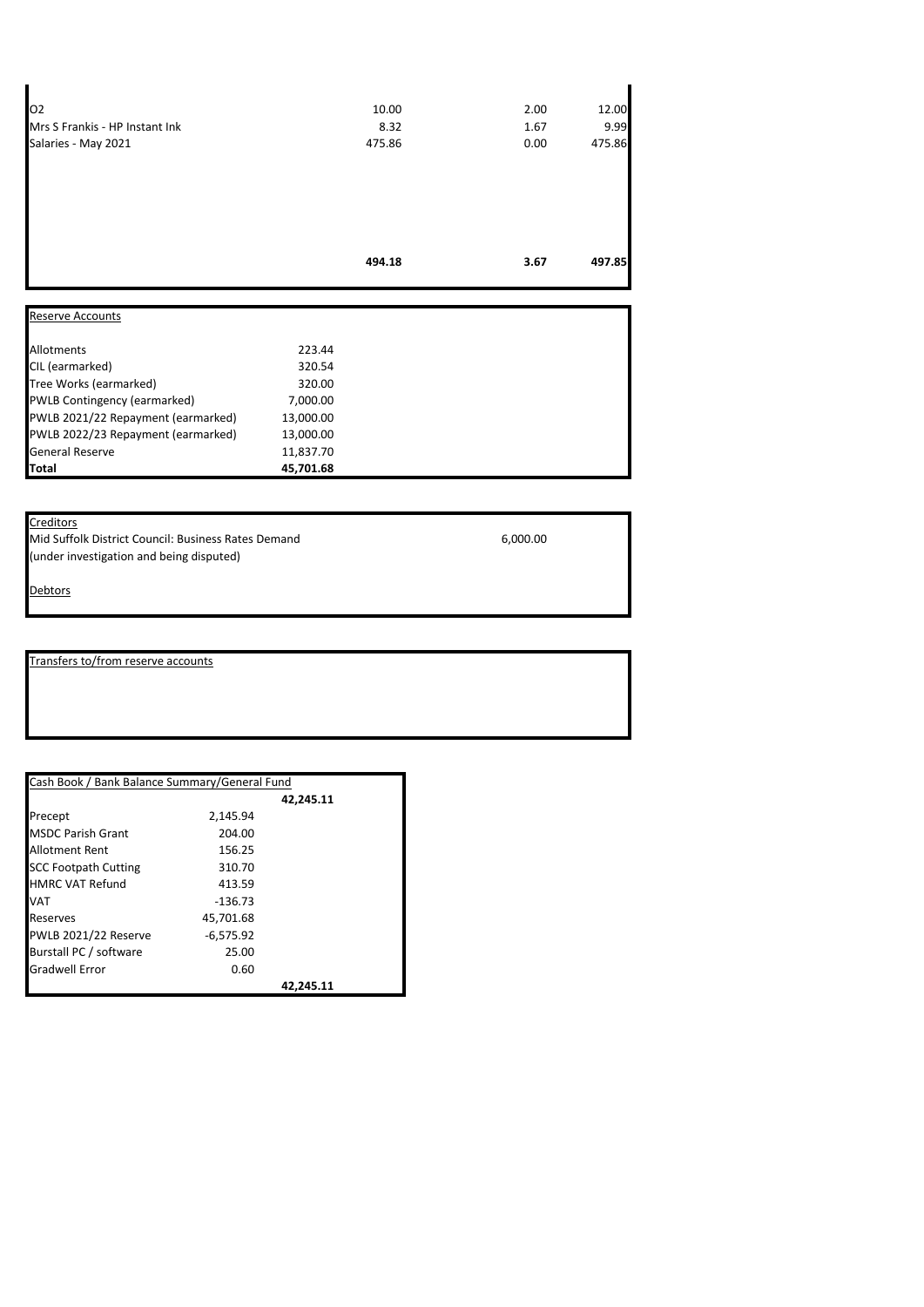|                                | 494.18 | 3.67 | 497.85 |
|--------------------------------|--------|------|--------|
|                                |        |      |        |
|                                |        |      |        |
|                                |        |      |        |
|                                |        |      |        |
| Salaries - May 2021            | 475.86 | 0.00 | 475.86 |
| Mrs S Frankis - HP Instant Ink | 8.32   | 1.67 | 9.99   |
| 02                             | 10.00  | 2.00 | 12.00  |

| 223.44    |  |
|-----------|--|
| 320.54    |  |
| 320.00    |  |
| 7,000.00  |  |
| 13,000.00 |  |
| 13,000.00 |  |
| 11,837.70 |  |
| 45,701.68 |  |
|           |  |

## **Creditors**

Mid Suffolk District Council: Business Rates Demand 6,000.00 (under investigation and being disputed)

**Debtors** 

Transfers to/from reserve accounts

| Cash Book / Bank Balance Summary/General Fund |             |           |  |
|-----------------------------------------------|-------------|-----------|--|
|                                               |             | 42.245.11 |  |
| Precept                                       | 2.145.94    |           |  |
| <b>MSDC Parish Grant</b>                      | 204.00      |           |  |
| Allotment Rent                                | 156.25      |           |  |
| <b>SCC Footpath Cutting</b>                   | 310.70      |           |  |
| <b>HMRC VAT Refund</b>                        | 413.59      |           |  |
| VAT                                           | $-136.73$   |           |  |
| Reserves                                      | 45,701.68   |           |  |
| PWLB 2021/22 Reserve                          | $-6.575.92$ |           |  |
| Burstall PC / software                        | 25.00       |           |  |
| <b>Gradwell Error</b>                         | 0.60        |           |  |
|                                               |             | 42.245.11 |  |